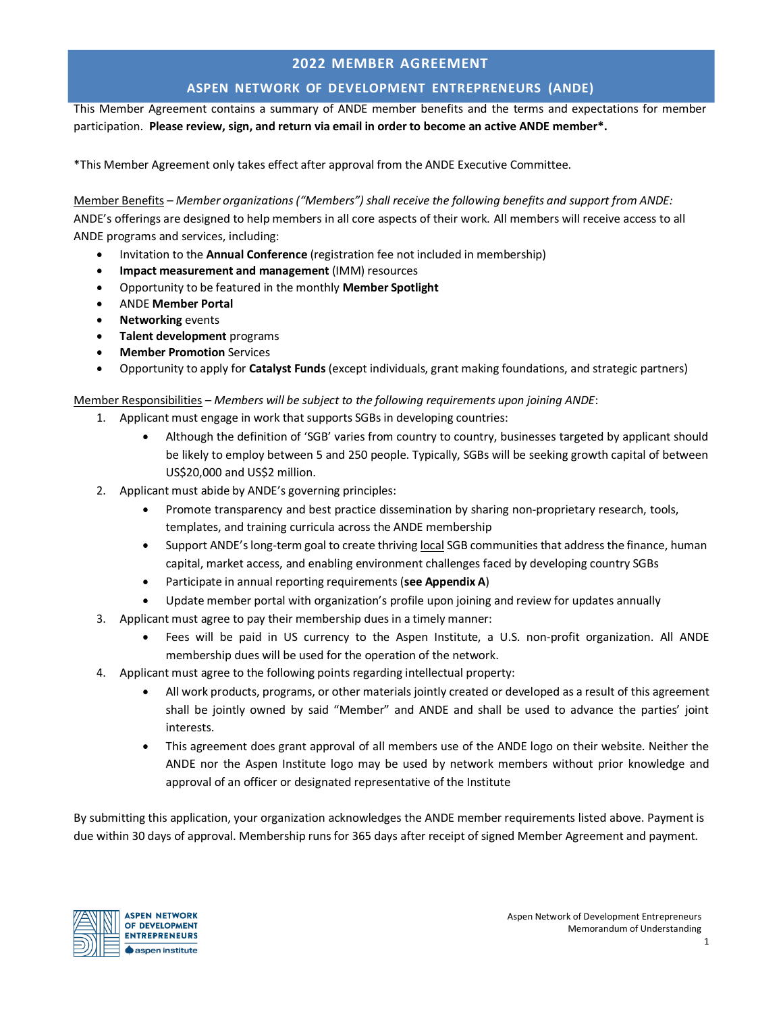## **2022 MEMBER AGREEMENT**

## **ASPEN NETWORK OF DEVELOPMENT ENTREPRENEURS (ANDE)**

This Member Agreement contains a summary of ANDE member benefits and the terms and expectations for member participation. **Please review, sign, and return via email in order to become an active ANDE member\*.**

\*This Member Agreement only takes effect after approval from the ANDE Executive Committee.

Member Benefits – *Member organizations("Members") shall receive the following benefits and support from ANDE:* ANDE's offerings are designed to help members in all core aspects of their work. All members will receive access to all ANDE programs and services, including:

- Invitation to the **Annual Conference** (registration fee not included in membership)
- **Impact measurement and management** (IMM) resources
- Opportunity to be featured in the monthly **Member Spotlight**
- ANDE **Member Portal**
- **Networking** events
- **Talent development** programs
- **Member Promotion** Services
- Opportunity to apply for **Catalyst Funds**(except individuals, grant making foundations, and strategic partners)

Member Responsibilities – *Members will be subject to the following requirements upon joining ANDE*:

- 1. Applicant must engage in work that supports SGBs in developing countries:
	- Although the definition of 'SGB' varies from country to country, businesses targeted by applicant should be likely to employ between 5 and 250 people. Typically, SGBs will be seeking growth capital of between US\$20,000 and US\$2 million.
- 2. Applicant must abide by ANDE's governing principles:
	- Promote transparency and best practice dissemination by sharing non-proprietary research, tools, templates, and training curricula across the ANDE membership
	- Support ANDE'slong-term goal to create thriving local SGB communities that address the finance, human capital, market access, and enabling environment challenges faced by developing country SGBs
	- Participate in annual reporting requirements (**see Appendix A**)
	- Update member portal with organization's profile upon joining and review for updates annually
- 3. Applicant must agree to pay their membership dues in a timely manner:
	- Fees will be paid in US currency to the Aspen Institute, a U.S. non-profit organization. All ANDE membership dues will be used for the operation of the network.
- 4. Applicant must agree to the following points regarding intellectual property:
	- All work products, programs, or other materials jointly created or developed as a result of this agreement shall be jointly owned by said "Member" and ANDE and shall be used to advance the parties' joint interests.
	- This agreement does grant approval of all members use of the ANDE logo on their website. Neither the ANDE nor the Aspen Institute logo may be used by network members without prior knowledge and approval of an officer or designated representative of the Institute

By submitting this application, your organization acknowledges the ANDE member requirements listed above. Payment is due within 30 days of approval. Membership runs for 365 days after receipt of signed Member Agreement and payment.